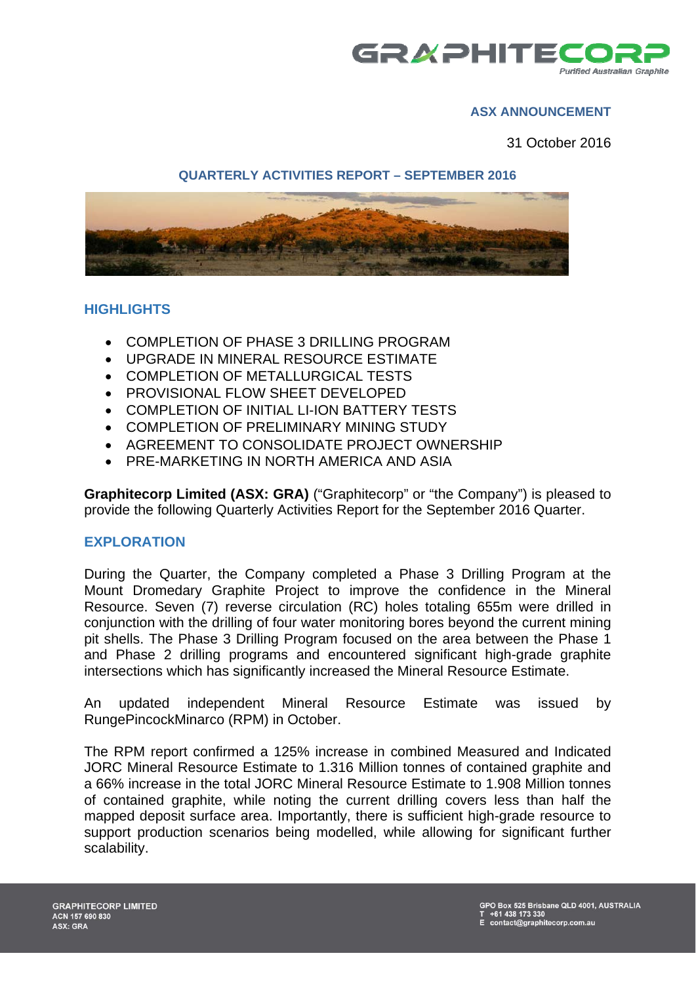

# **ASX ANNOUNCEMENT**

31 October 2016

# **QUARTERLY ACTIVITIES REPORT – SEPTEMBER 2016**



### **HIGHLIGHTS**

- COMPLETION OF PHASE 3 DRILLING PROGRAM
- UPGRADE IN MINERAL RESOURCE ESTIMATE
- COMPLETION OF METALLURGICAL TESTS
- PROVISIONAL FLOW SHEET DEVELOPED
- COMPLETION OF INITIAL LI-ION BATTERY TESTS
- COMPLETION OF PRELIMINARY MINING STUDY
- AGREEMENT TO CONSOLIDATE PROJECT OWNERSHIP
- PRE-MARKETING IN NORTH AMERICA AND ASIA

**Graphitecorp Limited (ASX: GRA)** ("Graphitecorp" or "the Company") is pleased to provide the following Quarterly Activities Report for the September 2016 Quarter.

#### **EXPLORATION**

During the Quarter, the Company completed a Phase 3 Drilling Program at the Mount Dromedary Graphite Project to improve the confidence in the Mineral Resource. Seven (7) reverse circulation (RC) holes totaling 655m were drilled in conjunction with the drilling of four water monitoring bores beyond the current mining pit shells. The Phase 3 Drilling Program focused on the area between the Phase 1 and Phase 2 drilling programs and encountered significant high-grade graphite intersections which has significantly increased the Mineral Resource Estimate.

An updated independent Mineral Resource Estimate was issued by RungePincockMinarco (RPM) in October.

The RPM report confirmed a 125% increase in combined Measured and Indicated JORC Mineral Resource Estimate to 1.316 Million tonnes of contained graphite and a 66% increase in the total JORC Mineral Resource Estimate to 1.908 Million tonnes of contained graphite, while noting the current drilling covers less than half the mapped deposit surface area. Importantly, there is sufficient high-grade resource to support production scenarios being modelled, while allowing for significant further scalability.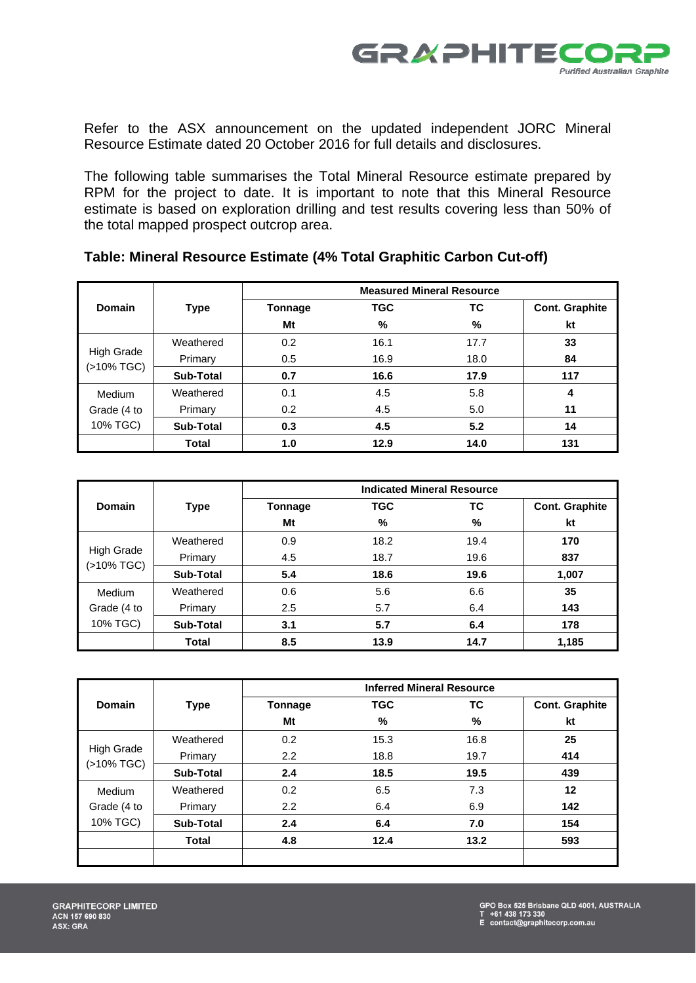

Refer to the ASX announcement on the updated independent JORC Mineral Resource Estimate dated 20 October 2016 for full details and disclosures.

The following table summarises the Total Mineral Resource estimate prepared by RPM for the project to date. It is important to note that this Mineral Resource estimate is based on exploration drilling and test results covering less than 50% of the total mapped prospect outcrop area.

|                         |                  | <b>Measured Mineral Resource</b> |            |             |                       |
|-------------------------|------------------|----------------------------------|------------|-------------|-----------------------|
| Domain                  | Type             | Tonnage                          | <b>TGC</b> | ТC          | <b>Cont. Graphite</b> |
|                         |                  | Mt                               | %          | %           | kt                    |
|                         | Weathered        | 0.2                              | 16.1       | 17.7        | 33                    |
| <b>High Grade</b>       | Primary          | 0.5                              | 16.9       | 18.0        | 84                    |
| (>10% TGC)              | <b>Sub-Total</b> | 0.7                              | 16.6       | 17.9<br>5.8 | 117                   |
| Medium                  | Weathered        | 0.1                              | 4.5        |             | 4                     |
| Grade (4 to<br>10% TGC) | Primary          | 0.2                              | 4.5        | 5.0         | 11                    |
|                         | <b>Sub-Total</b> | 0.3                              | 4.5        | 5.2         | 14                    |
|                         | <b>Total</b>     | 1.0                              | 12.9       | 14.0        | 131                   |

|                          |                  | <b>Indicated Mineral Resource</b> |            |      |                       |
|--------------------------|------------------|-----------------------------------|------------|------|-----------------------|
| <b>Domain</b>            | <b>Type</b>      | Tonnage                           | <b>TGC</b> | ТC   | <b>Cont. Graphite</b> |
|                          |                  | Mt                                | %          | %    | kt                    |
|                          | Weathered        | 0.9                               | 18.2       | 19.4 | 170                   |
| High Grade<br>(>10% TGC) | Primary          | 4.5                               | 18.7       | 19.6 | 837                   |
|                          | <b>Sub-Total</b> | 5.4                               | 18.6       | 19.6 | 1,007                 |
| Medium                   | Weathered        | 0.6                               | 5.6        | 6.6  | 35                    |
| Grade (4 to<br>10% TGC)  | Primary          | 2.5                               | 5.7        | 6.4  | 143                   |
|                          | <b>Sub-Total</b> | 3.1                               | 5.7        | 6.4  | 178                   |
|                          | <b>Total</b>     | 8.5                               | 13.9       | 14.7 | 1,185                 |

|                         |                  | <b>Inferred Mineral Resource</b> |            |      |                       |
|-------------------------|------------------|----------------------------------|------------|------|-----------------------|
| Domain                  | <b>Type</b>      | Tonnage                          | <b>TGC</b> | ТC   | <b>Cont. Graphite</b> |
|                         |                  | Mt                               | %          | %    | kt                    |
|                         | Weathered        | 0.2                              | 15.3       | 16.8 | 25                    |
| High Grade              | Primary          | 2.2                              | 18.8       | 19.7 | 414                   |
| (>10% TGC)              | <b>Sub-Total</b> | 2.4                              | 18.5       | 19.5 | 439                   |
| Medium                  | Weathered        | 0.2                              | 6.5        | 7.3  | $12 \,$               |
| Grade (4 to<br>10% TGC) | Primary          | 2.2                              | 6.4        | 6.9  | 142                   |
|                         | <b>Sub-Total</b> | 2.4                              | 6.4        | 7.0  | 154                   |
|                         | <b>Total</b>     | 4.8                              | 12.4       | 13.2 | 593                   |
|                         |                  |                                  |            |      |                       |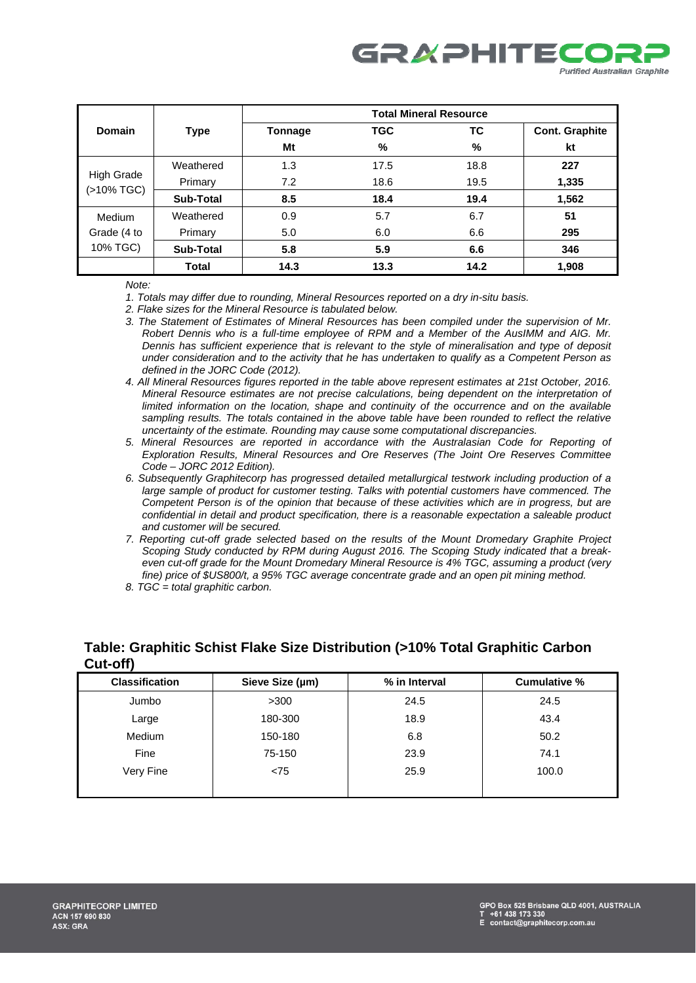

|                                 |                  | <b>Total Mineral Resource</b> |            |      |                       |
|---------------------------------|------------------|-------------------------------|------------|------|-----------------------|
| Domain                          | <b>Type</b>      | Tonnage                       | <b>TGC</b> | ТC   | <b>Cont. Graphite</b> |
|                                 |                  | Mt                            | %          | %    | kt                    |
|                                 | Weathered        | 1.3                           | 17.5       | 18.8 | 227                   |
| <b>High Grade</b><br>(>10% TGC) | Primary          | 7.2                           | 18.6       | 19.5 | 1,335                 |
|                                 | <b>Sub-Total</b> | 8.5                           | 18.4       | 19.4 | 1,562                 |
| Medium                          | Weathered        | 0.9                           | 5.7        | 6.7  | 51                    |
| Grade (4 to                     | Primary          | 5.0                           | 6.0        | 6.6  | 295                   |
| 10% TGC)                        | <b>Sub-Total</b> | 5.8                           | 5.9        | 6.6  | 346                   |
|                                 | <b>Total</b>     | 14.3                          | 13.3       | 14.2 | 1,908                 |

*Note:* 

*1. Totals may differ due to rounding, Mineral Resources reported on a dry in-situ basis.* 

*2. Flake sizes for the Mineral Resource is tabulated below.* 

- *3. The Statement of Estimates of Mineral Resources has been compiled under the supervision of Mr. Robert Dennis who is a full-time employee of RPM and a Member of the AusIMM and AIG. Mr. Dennis has sufficient experience that is relevant to the style of mineralisation and type of deposit under consideration and to the activity that he has undertaken to qualify as a Competent Person as defined in the JORC Code (2012).*
- *4. All Mineral Resources figures reported in the table above represent estimates at 21st October, 2016. Mineral Resource estimates are not precise calculations, being dependent on the interpretation of limited information on the location, shape and continuity of the occurrence and on the available sampling results. The totals contained in the above table have been rounded to reflect the relative uncertainty of the estimate. Rounding may cause some computational discrepancies.*
- *5. Mineral Resources are reported in accordance with the Australasian Code for Reporting of Exploration Results, Mineral Resources and Ore Reserves (The Joint Ore Reserves Committee Code – JORC 2012 Edition).*
- *6. Subsequently Graphitecorp has progressed detailed metallurgical testwork including production of a large sample of product for customer testing. Talks with potential customers have commenced. The Competent Person is of the opinion that because of these activities which are in progress, but are confidential in detail and product specification, there is a reasonable expectation a saleable product and customer will be secured.*
- *7. Reporting cut-off grade selected based on the results of the Mount Dromedary Graphite Project Scoping Study conducted by RPM during August 2016. The Scoping Study indicated that a breakeven cut-off grade for the Mount Dromedary Mineral Resource is 4% TGC, assuming a product (very fine) price of \$US800/t, a 95% TGC average concentrate grade and an open pit mining method.*
- *8. TGC = total graphitic carbon.*

| <b>UUL-UII</b>        |                 |               |              |
|-----------------------|-----------------|---------------|--------------|
| <b>Classification</b> | Sieve Size (µm) | % in Interval | Cumulative % |
| Jumbo                 | >300            | 24.5          | 24.5         |
| Large                 | 180-300         | 18.9          | 43.4         |
| Medium                | 150-180         | 6.8           | 50.2         |
| Fine                  | 75-150          | 23.9          | 74.1         |
| Very Fine             | < 75            | 25.9          | 100.0        |
|                       |                 |               |              |

#### **Table: Graphitic Schist Flake Size Distribution (>10% Total Graphitic Carbon**   $C_{\text{min}}$   $\leq$ **ff**)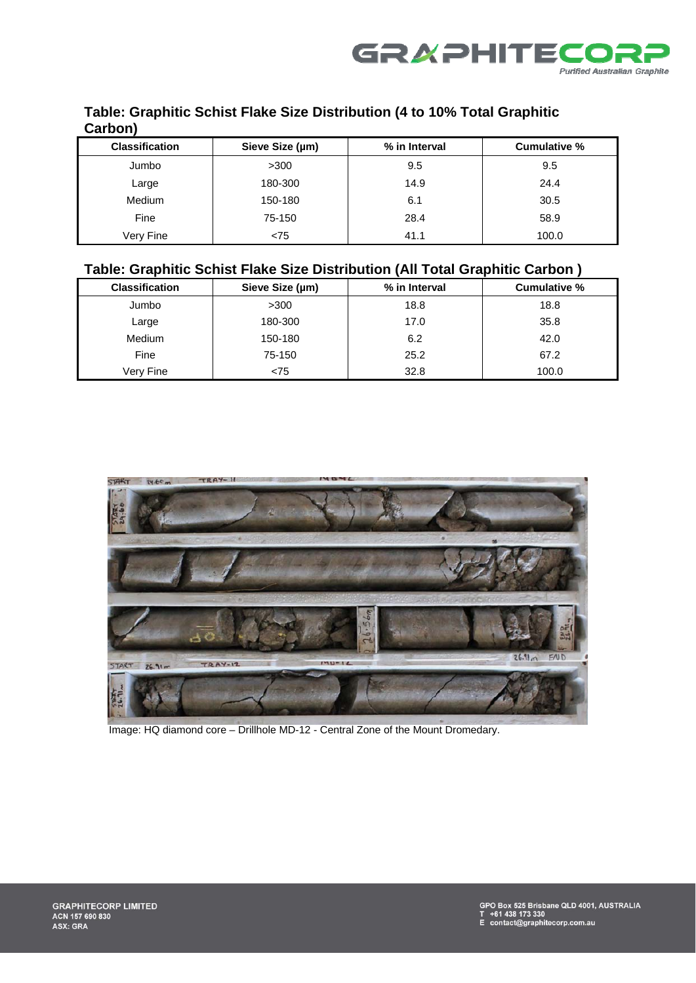

# **Table: Graphitic Schist Flake Size Distribution (4 to 10% Total Graphitic Carbon)**

| <b>Classification</b> | Sieve Size (µm) | % in Interval | Cumulative % |
|-----------------------|-----------------|---------------|--------------|
| Jumbo                 | >300            | 9.5           | 9.5          |
| Large                 | 180-300         | 14.9          | 24.4         |
| <b>Medium</b>         | 150-180         | 6.1           | 30.5         |
| Fine                  | 75-150          | 28.4          | 58.9         |
| Very Fine             | < 75            | 41.1          | 100.0        |

# **Table: Graphitic Schist Flake Size Distribution (All Total Graphitic Carbon )**

| <b>Classification</b> | Sieve Size (µm) | % in Interval | Cumulative % |
|-----------------------|-----------------|---------------|--------------|
| Jumbo                 | >300            | 18.8          | 18.8         |
| Large                 | 180-300         | 17.0          | 35.8         |
| <b>Medium</b>         | 150-180         | 6.2           | 42.0         |
| Fine                  | 75-150          | 25.2          | 67.2         |
| Very Fine             | < 75            | 32.8          | 100.0        |



Image: HQ diamond core – Drillhole MD-12 - Central Zone of the Mount Dromedary.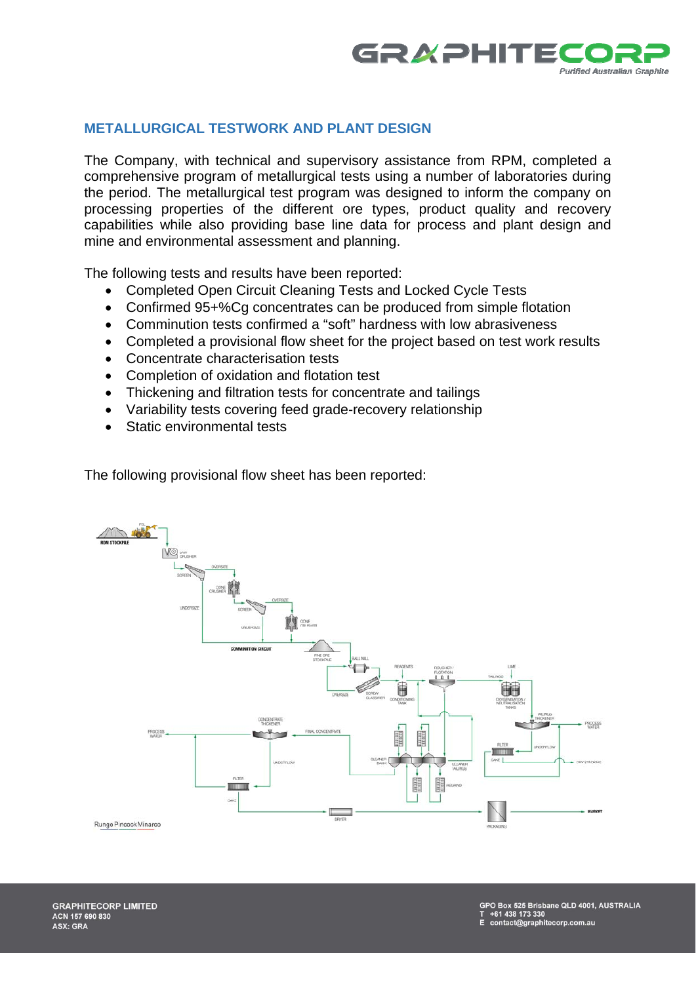

## **METALLURGICAL TESTWORK AND PLANT DESIGN**

The Company, with technical and supervisory assistance from RPM, completed a comprehensive program of metallurgical tests using a number of laboratories during the period. The metallurgical test program was designed to inform the company on processing properties of the different ore types, product quality and recovery capabilities while also providing base line data for process and plant design and mine and environmental assessment and planning.

The following tests and results have been reported:

- Completed Open Circuit Cleaning Tests and Locked Cycle Tests
- Confirmed 95+%Cq concentrates can be produced from simple flotation
- Comminution tests confirmed a "soft" hardness with low abrasiveness
- Completed a provisional flow sheet for the project based on test work results
- Concentrate characterisation tests
- Completion of oxidation and flotation test
- Thickening and filtration tests for concentrate and tailings
- Variability tests covering feed grade-recovery relationship
- Static environmental tests

The following provisional flow sheet has been reported:

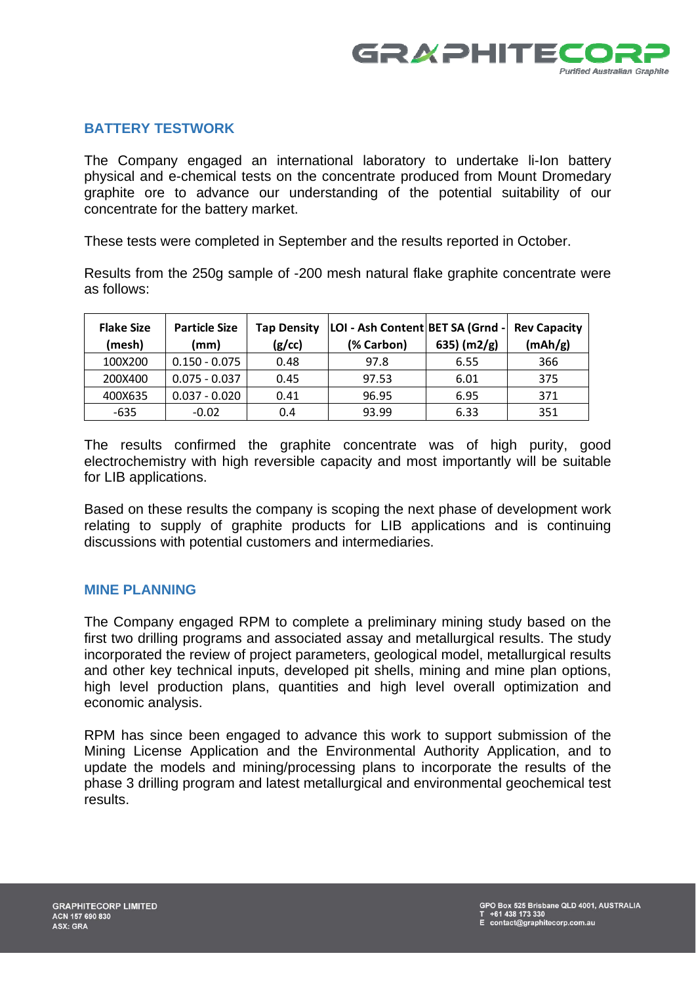

# **BATTERY TESTWORK**

The Company engaged an international laboratory to undertake li-Ion battery physical and e-chemical tests on the concentrate produced from Mount Dromedary graphite ore to advance our understanding of the potential suitability of our concentrate for the battery market.

These tests were completed in September and the results reported in October.

Results from the 250g sample of -200 mesh natural flake graphite concentrate were as follows:

| <b>Flake Size</b><br>(mesh) | <b>Particle Size</b><br>(mm) | <b>Tap Density</b><br>(g/cc) | LOI - Ash Content BET SA (Grnd -<br>(% Carbon) | 635) $(m2/g)$ | <b>Rev Capacity</b><br>(mAh/g) |
|-----------------------------|------------------------------|------------------------------|------------------------------------------------|---------------|--------------------------------|
| 100X200                     | $0.150 - 0.075$              | 0.48                         | 97.8                                           | 6.55          | 366                            |
| 200X400                     | $0.075 - 0.037$              | 0.45                         | 97.53                                          | 6.01          | 375                            |
| 400X635                     | $0.037 - 0.020$              | 0.41                         | 96.95                                          | 6.95          | 371                            |
| $-635$                      | $-0.02$                      | 0.4                          | 93.99                                          | 6.33          | 351                            |

The results confirmed the graphite concentrate was of high purity, good electrochemistry with high reversible capacity and most importantly will be suitable for LIB applications.

Based on these results the company is scoping the next phase of development work relating to supply of graphite products for LIB applications and is continuing discussions with potential customers and intermediaries.

#### **MINE PLANNING**

The Company engaged RPM to complete a preliminary mining study based on the first two drilling programs and associated assay and metallurgical results. The study incorporated the review of project parameters, geological model, metallurgical results and other key technical inputs, developed pit shells, mining and mine plan options, high level production plans, quantities and high level overall optimization and economic analysis.

RPM has since been engaged to advance this work to support submission of the Mining License Application and the Environmental Authority Application, and to update the models and mining/processing plans to incorporate the results of the phase 3 drilling program and latest metallurgical and environmental geochemical test results.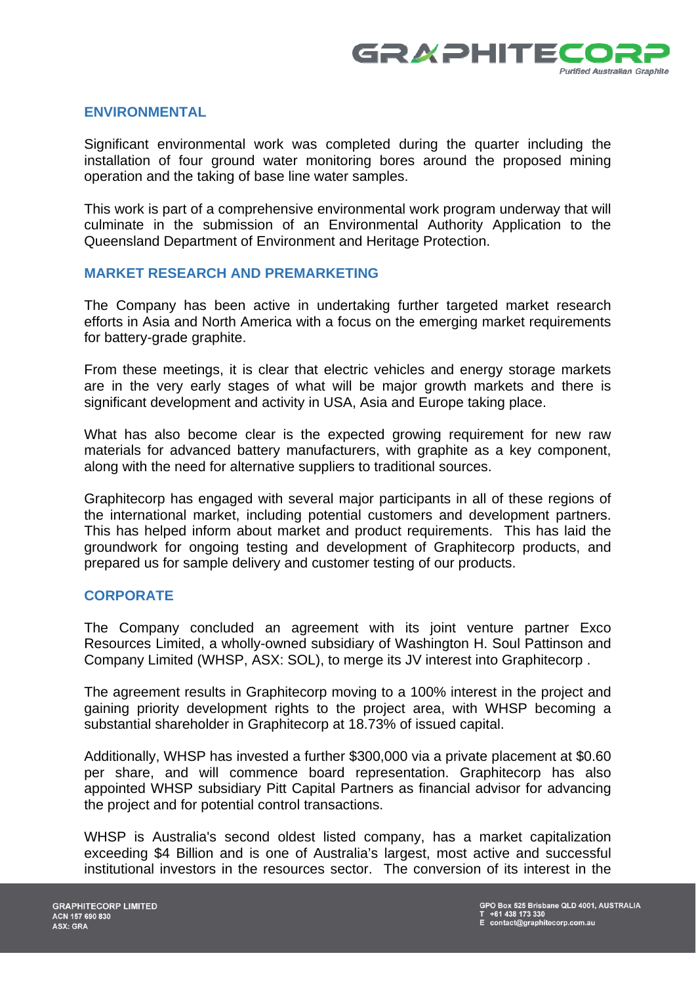

#### **ENVIRONMENTAL**

Significant environmental work was completed during the quarter including the installation of four ground water monitoring bores around the proposed mining operation and the taking of base line water samples.

This work is part of a comprehensive environmental work program underway that will culminate in the submission of an Environmental Authority Application to the Queensland Department of Environment and Heritage Protection.

#### **MARKET RESEARCH AND PREMARKETING**

The Company has been active in undertaking further targeted market research efforts in Asia and North America with a focus on the emerging market requirements for battery-grade graphite.

From these meetings, it is clear that electric vehicles and energy storage markets are in the very early stages of what will be major growth markets and there is significant development and activity in USA, Asia and Europe taking place.

What has also become clear is the expected growing requirement for new raw materials for advanced battery manufacturers, with graphite as a key component, along with the need for alternative suppliers to traditional sources.

Graphitecorp has engaged with several major participants in all of these regions of the international market, including potential customers and development partners. This has helped inform about market and product requirements. This has laid the groundwork for ongoing testing and development of Graphitecorp products, and prepared us for sample delivery and customer testing of our products.

### **CORPORATE**

The Company concluded an agreement with its joint venture partner Exco Resources Limited, a wholly-owned subsidiary of Washington H. Soul Pattinson and Company Limited (WHSP, ASX: SOL), to merge its JV interest into Graphitecorp .

The agreement results in Graphitecorp moving to a 100% interest in the project and gaining priority development rights to the project area, with WHSP becoming a substantial shareholder in Graphitecorp at 18.73% of issued capital.

Additionally, WHSP has invested a further \$300,000 via a private placement at \$0.60 per share, and will commence board representation. Graphitecorp has also appointed WHSP subsidiary Pitt Capital Partners as financial advisor for advancing the project and for potential control transactions.

WHSP is Australia's second oldest listed company, has a market capitalization exceeding \$4 Billion and is one of Australia's largest, most active and successful institutional investors in the resources sector. The conversion of its interest in the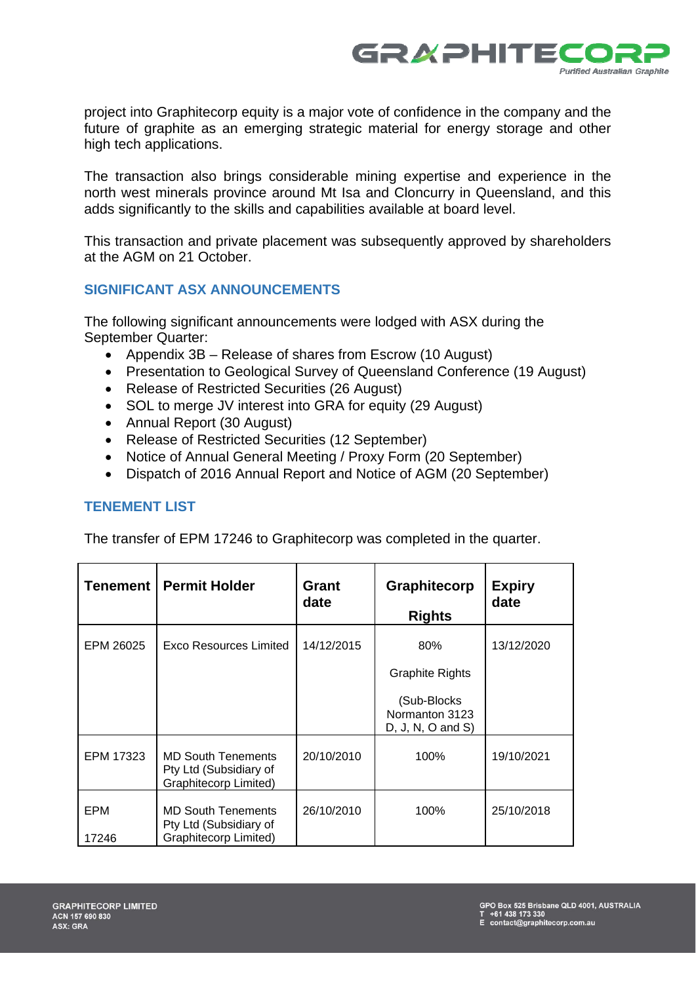

project into Graphitecorp equity is a major vote of confidence in the company and the future of graphite as an emerging strategic material for energy storage and other high tech applications.

The transaction also brings considerable mining expertise and experience in the north west minerals province around Mt Isa and Cloncurry in Queensland, and this adds significantly to the skills and capabilities available at board level.

This transaction and private placement was subsequently approved by shareholders at the AGM on 21 October.

# **SIGNIFICANT ASX ANNOUNCEMENTS**

The following significant announcements were lodged with ASX during the September Quarter:

- Appendix 3B Release of shares from Escrow (10 August)
- Presentation to Geological Survey of Queensland Conference (19 August)
- Release of Restricted Securities (26 August)
- SOL to merge JV interest into GRA for equity (29 August)
- Annual Report (30 August)
- Release of Restricted Securities (12 September)
- Notice of Annual General Meeting / Proxy Form (20 September)
- Dispatch of 2016 Annual Report and Notice of AGM (20 September)

# **TENEMENT LIST**

The transfer of EPM 17246 to Graphitecorp was completed in the quarter.

| Tenement     | <b>Permit Holder</b>                                                                | Grant<br>date | Graphitecorp<br><b>Rights</b>                                                            | <b>Expiry</b><br>date |
|--------------|-------------------------------------------------------------------------------------|---------------|------------------------------------------------------------------------------------------|-----------------------|
| EPM 26025    | Exco Resources Limited                                                              | 14/12/2015    | 80%<br><b>Graphite Rights</b><br>(Sub-Blocks<br>Normanton 3123<br>$D, J, N, O$ and $S$ ) | 13/12/2020            |
| EPM 17323    | <b>MD South Tenements</b><br>Pty Ltd (Subsidiary of<br>Graphitecorp Limited)        | 20/10/2010    | 100%                                                                                     | 19/10/2021            |
| EPM<br>17246 | <b>MD South Tenements</b><br>Pty Ltd (Subsidiary of<br><b>Graphitecorp Limited)</b> | 26/10/2010    | 100%                                                                                     | 25/10/2018            |